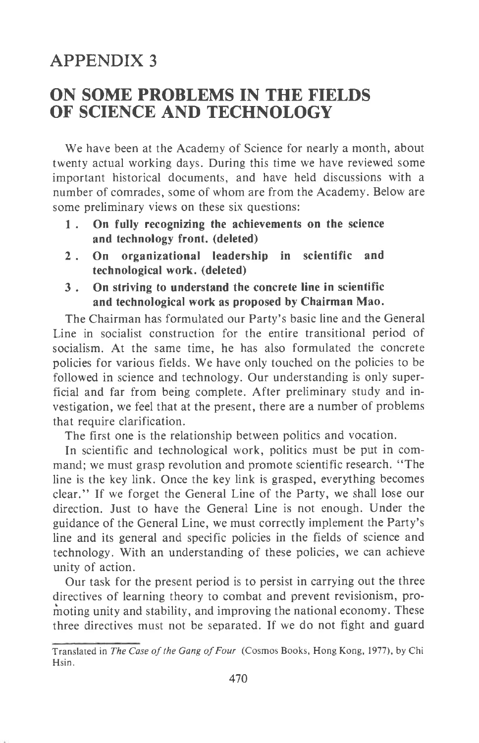## APPENDIX <sup>3</sup>

## ON SOME PROBLEMS IN THE FIELDS OF SCIENCE AND TECHNOLOGY

We have been at the Academy of Science for nearly a month, about twenty actual working days. During this time we have reviewed some important historical documents, and have held discussions with <sup>a</sup> number of comrades, some of whom are from the Academy. Below are some preliminary views on these six questions:

- I . On fully recognizing the achievements on the science and technology front. (deleted)
- 2 . On organizational leadership in scientific and technological work. (deleted)
- 3 . On striving to understand the concrete line in scientific and technological work as proposed by Chairman Mao.

The Chairman has formulated our Party's basic line and the General Line in socialist construction for the entire transitional period of socialism. At the same time, he has also formulated the concrete policies for various fields. We have only touched on the policies to be followed in science and technology. Our understanding is only superficial and far from being complete. After preliminary study and investigation, we feel that at the present, there are a number of problems that require clarification.

The first one is the relationship between politics and vocation.

In scientific and technological work, politics must be put in command; we must grasp revolution and promote scientific research, "The line is the key link. Once the key link is grasped, everything becomes clear." If we forget the General Line of the Party, we shall lose our direction. Just to have the General Line is not enough. Under the guidance of the General Line, we must correctly implement the Party's Iine and its general and specific policies in the fields of science and technology. With an understanding of these policies, we can achieve unity of action.

Our task for the present period is to persist in carrying out the three directives of learning theory to combat and prevent revisionism, promoting unity and stability, and improving the national economy. These three directives must not be separated. If we do not fight and guard

Translated in The Case of the Gang of Four (Cosmos Books, Hong Kong, 1977), by Chi Hsin.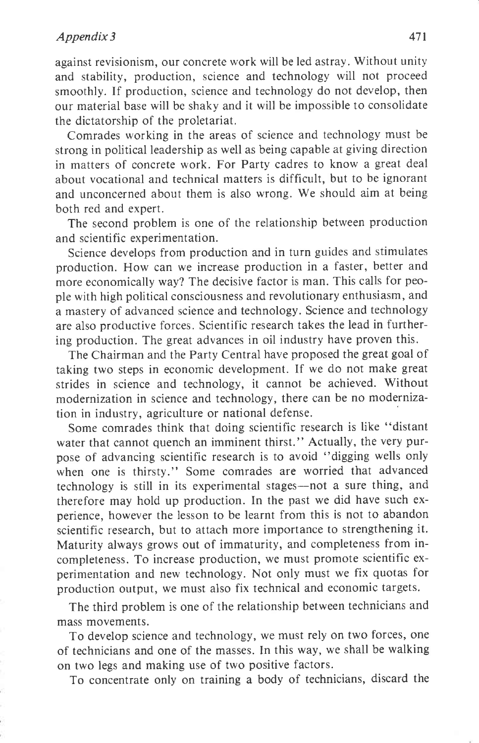## $Appendix 3$  471

against revisionism, our concrete work will be led astray. Without unity and stability, production, science and technology will not proceed smoothly. If production, science and technology do not develop, then our material base will be shaky and it will be impossible to consolidate the dictatorship of the proletariat.

Comrades working in the areas of science and technology must be strong in political leadership as well as being capable at giving direction in matters of concrete work. For Party cadres to know a great deal about vocational and technical matters is difficult, but to be ignorant and unconcerned about them is also wrong. We should aim at being both red and expert.

The second problem is one of the relationship between production and scientific experimentation.

Science develops from production and in turn guides and stimulates production. How can we increase production in a faster, better and more economically way? The decisive factor is man. This calls for people with high political consciousness and revolutionary enthusiasm, and a mastery of advanced science and technology. Science and technology are also productive forces. Scientific research takes the lead in furthering production. The great advances in oil industry have proven this.

The Chairman and the Party Central have proposed the great goal of taking two steps in economic development. If we do not make great strides in science and technology, it cannot be achieved. Without modernization in science and technology, there can be no modernization in industry, agriculture or national defense.

Some comrades think that doing scientific research is like "distant water that cannot quench an imminent thirst." Actually, the very purpose of advancing scientific research is to avoid "digging wells only when one is thirsty." Some comrades are worried that advanced technology is still in its experimental stages-not a sure thing, and therefore may hold up production. In the past we did have such experience, however the lesson to be learnt from this is not to abandon scientific research, but to attach more importance to strengthening it. Maturity always grows out of immaturity, and completeness from incompleteness. To increase production, we must promote scientific experimentation and new technology. Not only must we fix quotas for production output, we must also fix technical and economic targets'

The third problem is one of the relationship between technicians and mass movements.

To develop science and technology, we must rely on two forces, one of technicians and one of the masses. In this way, we shall be walking on two legs and making use of two positive factors.

To concentrate only on training a body of technicians, discard the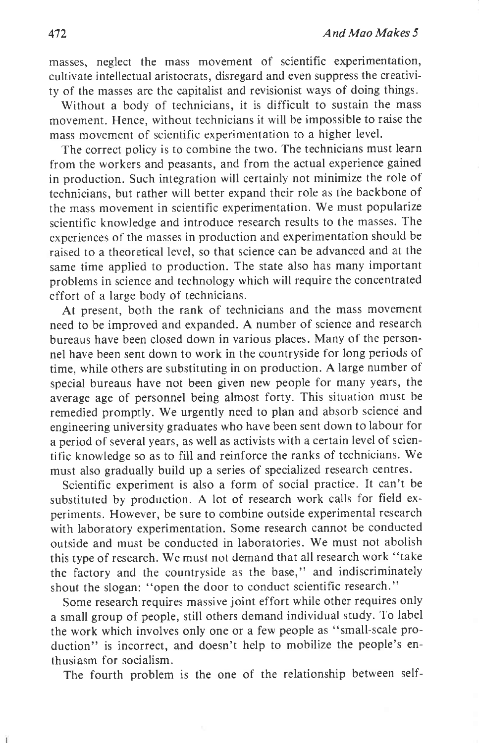masses, neglect the mass movement of scientific experimentation, cultivate intellectual aristocrats, disregard and even suppress the creativity of the masses are the capitalist and revisionist ways of doing things.

Without a body of technicians, it is difficult to sustain the mass movement. Hence, without technicians it will be impossible to raise the mass movement of scientific experimentation to a higher level.

The correct policy is to combine the two. The technicians must learn from the workers and peasants, and from the actual experience gained in production. Such integration will certainly not minimize the role of technicians, but rather will better expand their role as the backbone of the mass movement in scientific experimentation. We must popularize scientific knowledge and introduce research results to the masses. The experiences of the masses in production and experimentation should be raisecl to a theoretical level, so that science can be advanced and at the same time applied to production. The state also has many important problems in science and technology which will require the concentrated effort of a large body of technicians.

At present, both the rank of technicians and the mass movement need to be improved and expanded. A number of science and research bureaus have been closed down in various places. Many of the personnel have been sent down to work in the countryside for long periods of time, while others are substituting in on production. A large number of special bureaus have not been given new people for many years, the average age of personnel being almost forty. This situation must be remedied promptly. We urgently need to plan and absorb science and engineering university graduates who have been sent down to labour for a period of several years, as well as activists with a certain level of scientific knowledge so as to fill and reinforce the ranks of technicians. We must also gradually build up a series of specialized research centres.

Scientific experiment is also a form of social practice. It can't be substituted by production. A lot of research work calls for field experiments. However, be sure to combine outside experimental research with laboratory experimentation. Some research cannot be conducted outside and must be conducted in laboratories. We must not abolish this type of research. We must not demand that all research work "take the factory and the countryside as the base," and indiscriminately shout the slogan: "open the door to conduct scientific research."

Some research requires massive joint effort while other requires only a small group of people, still others demand individual study. To label the work which involves only one or a few people as "small-scale production" is incorrect, and doesn't help to mobilize the people's enthusiasm for socialism.

The fourth problem is the one of the relationship between self-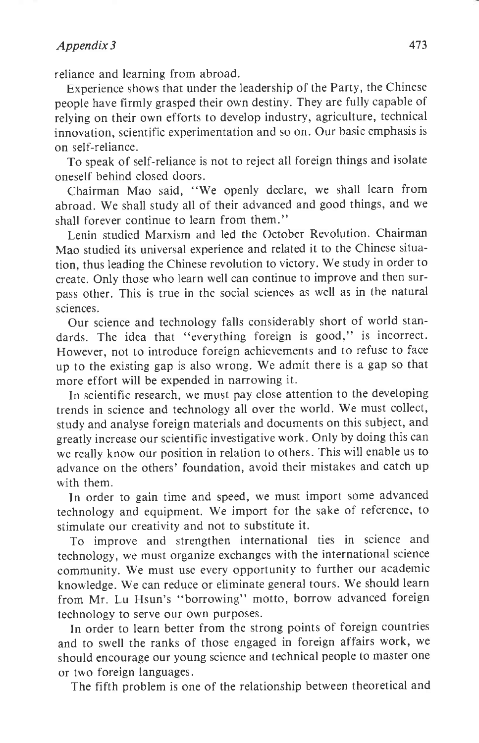# $Appendix 3$  473

reliance and learning from abroad.

Experience shows that under the leadership of the Party, the Chinese people have firmly grasped their own destiny. They are fully capable of relying on their own efforts to develop industry, agriculture, technical innovation, scientific experimentation and so on. Our basic emphasis is on self-reliance.

To speak of self-reliance is not to reject all foreign things and isolate oneself behind closed doors.

Chairman Mao said, "We openly declare, we shall learn from abroad. We shall study all of their advanced and good things, and we shall forever continue to learn from them."

Lenin stuclied Marxism and led the October Revolution, Chairman Mao studied its universal experience and related it to the Chinese situation, thus leading the Chinese revolution to victory. We study in order to create. Only those who learn well can continue to improve and then surpass other. This is true in the social sciences as well as in the natural sciences.

Our science and technology falls considerably short of world standards. The idea that "everything foreign is good," is incorrect. However, not to introduce foreign achievements and to refuse to face up to the existing gap is also wrong. We admit there is a gap so that more effort will be expended in narrowing it.

In scientific research, we must pay close attention to the developing trends in science and technology all over the world. We must collect, study and analyse foreign materials and documents on this subject, and greatly increase our scientific investigative work. Only by doing this can we really know our position in relation to others. This will enable us to advance on the others' foundation, avoid their mistakes and catch up with them.

In order to gain time and speed, we must import some advanced technology and equipment. We import for the sake of reference, to siimulate our creativity and not to substitute it.

To improve and strengthen international ties in science and technology, we must organize exchanges with the international science community. We must use every opportunity to further our academic knowledge. We can reduce or eliminate general tours. We should learn from Mr. Lu Hsun's "borrowing" motto, borrow advanced foreign technology to serve our own purposes.

In order to learn better from the strong points of foreign countries and to swell the ranks of those engaged in foreign affairs work, we should encourage our young science and technical people to master one or two foreign languages.

The fifth problem is one of the relationship between theoretical and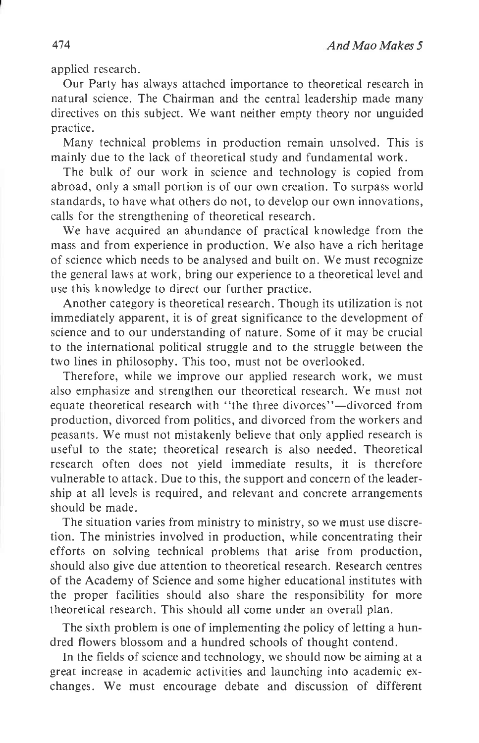applied research.

Our Party has always attached importance to theoretical research in natural science. The Chairman and the central leadership made many directives on this subject. We want neither empty theory nor unguided practice.

Many technical problems in production remain unsolved. This is mainly due to the lack of theoretical study and fundamental work.

The bulk of our work in science and technology is copied from abroad, only a small portion is of our own creation. To surpass world standards, to have what others do not, to develop our own innovations, calls for the strengthening of theoretical research.

We have acquired an abundance of practical knowledge from the mass and from experience in production. We also have a rich heritage of science which needs to be analysed and built on. We must recognize the general laws at work, bring our experience to a theoretical level and use this knowledge to direct our further practice.

Another category is theoretical research. Though its utilization is not immediately apparent, it is of great significance to the development of science and to our understanding of nature. Some of it may be crucial to the international political struggle and to the struggle between the two lines in philosophy. This too, must not be overlooked.

Therefore, while we improve our applied research work, we must also emphasize and strengthen our theoretical research. We must not equate theoretical research with "the three divorces"-divorced from production, divorced from politics, and divorced from the workers and peasants. We must not mistakenly believe that only applied research is useful to the state; theoretical research is also needed. Theoretical research often does not yield immediate results, it is therefore vulnerable to attack. Due to this, the support and concern of the leadership at all levels is required, and relevant and concrete arrangements should be made.

The situation varies from ministry to ministry, so we must use discretion. The ministries involved in production, while concentrating their efforts on solving technical problems that arise from production, should also give due attention to theoretical research. Research centres of the Academy of Science and some higher educational institutes with the proper facilities should also share the responsibility for more theoretical research. This should all come under an overall plan,

The sixth problem is one of implementing the policy of letting a hundred flowers blossom and a hundred schools of thought contend.

In the fields of science and technology, we should now be aiming at a great increase in academic activities and launching into academic exchanges. We must encourage debate and discussion of different